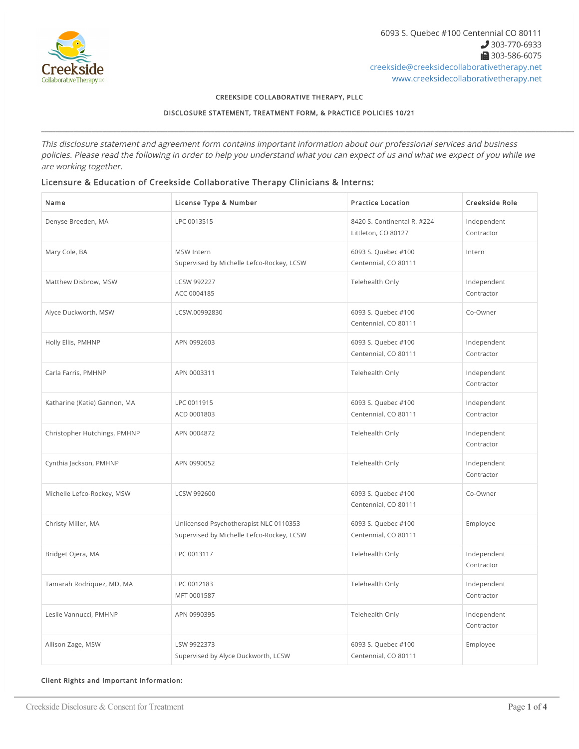

### CREEKSIDE COLLABORATIVE THERAPY, PLLC

DISCLOSURE STATEMENT, TREATMENT FORM, & PRACTICE POLICIES 10/21

\_\_\_\_\_\_\_\_\_\_\_\_\_\_\_\_\_\_\_\_\_\_\_\_\_\_\_\_\_\_\_\_\_\_\_\_\_\_\_\_\_\_\_\_\_\_\_\_\_\_\_\_\_\_\_\_\_\_\_\_\_\_\_\_\_\_\_\_\_\_\_\_\_\_\_\_\_\_\_\_\_\_\_\_\_\_\_\_\_\_\_\_\_\_\_\_\_\_\_\_\_\_\_\_\_\_\_\_\_\_\_\_\_\_\_\_\_\_\_\_\_\_\_\_\_\_\_\_\_\_\_\_\_\_\_\_\_\_\_\_\_\_\_\_\_\_\_\_\_\_

This disclosure statement and agreement form contains important information about our professional services and business policies. Please read the following in order to help you understand what you can expect of us and what we expect of you while we are working together.

## Licensure & Education of Creekside Collaborative Therapy Clinicians & Interns:

| Name                         | License Type & Number                                                               | <b>Practice Location</b>                           | Creekside Role            |
|------------------------------|-------------------------------------------------------------------------------------|----------------------------------------------------|---------------------------|
| Denyse Breeden, MA           | LPC 0013515                                                                         | 8420 S. Continental R. #224<br>Littleton, CO 80127 | Independent<br>Contractor |
| Mary Cole, BA                | <b>MSW</b> Intern<br>Supervised by Michelle Lefco-Rockey, LCSW                      | 6093 S. Quebec #100<br>Centennial, CO 80111        | Intern                    |
| Matthew Disbrow, MSW         | <b>LCSW 992227</b><br>ACC 0004185                                                   | Telehealth Only                                    | Independent<br>Contractor |
| Alyce Duckworth, MSW         | LCSW.00992830                                                                       | 6093 S. Quebec #100<br>Centennial, CO 80111        | Co-Owner                  |
| Holly Ellis, PMHNP           | APN 0992603                                                                         | 6093 S. Quebec #100<br>Centennial, CO 80111        | Independent<br>Contractor |
| Carla Farris, PMHNP          | APN 0003311                                                                         | Telehealth Only                                    | Independent<br>Contractor |
| Katharine (Katie) Gannon, MA | LPC 0011915<br>ACD 0001803                                                          | 6093 S. Quebec #100<br>Centennial, CO 80111        | Independent<br>Contractor |
| Christopher Hutchings, PMHNP | APN 0004872                                                                         | Telehealth Only                                    | Independent<br>Contractor |
| Cynthia Jackson, PMHNP       | APN 0990052                                                                         | Telehealth Only                                    | Independent<br>Contractor |
| Michelle Lefco-Rockey, MSW   | LCSW 992600                                                                         | 6093 S. Quebec #100<br>Centennial, CO 80111        | Co-Owner                  |
| Christy Miller, MA           | Unlicensed Psychotherapist NLC 0110353<br>Supervised by Michelle Lefco-Rockey, LCSW | 6093 S. Quebec #100<br>Centennial, CO 80111        | Employee                  |
| Bridget Ojera, MA            | LPC 0013117                                                                         | Telehealth Only                                    | Independent<br>Contractor |
| Tamarah Rodriquez, MD, MA    | LPC 0012183<br>MFT 0001587                                                          | Telehealth Only                                    | Independent<br>Contractor |
| Leslie Vannucci, PMHNP       | APN 0990395                                                                         | Telehealth Only                                    | Independent<br>Contractor |
| Allison Zage, MSW            | LSW 9922373<br>Supervised by Alyce Duckworth, LCSW                                  | 6093 S. Quebec #100<br>Centennial, CO 80111        | Employee                  |

## Client Rights and Important Information: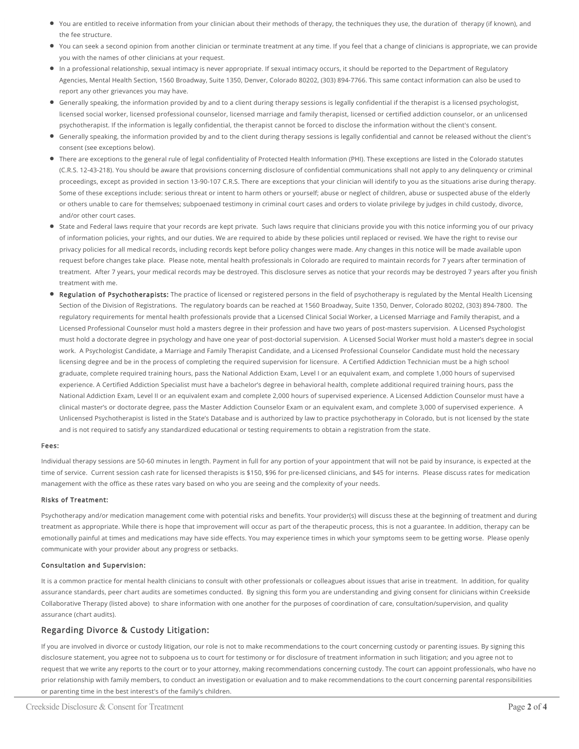- You are entitled to receive information from your clinician about their methods of therapy, the techniques they use, the duration of therapy (if known), and the fee structure.
- You can seek a second opinion from another clinician or terminate treatment at any time. If you feel that a change of clinicians is appropriate, we can provide you with the names of other clinicians at your request.
- In a professional relationship, sexual intimacy is never appropriate. If sexual intimacy occurs, it should be reported to the Department of Regulatory Agencies, Mental Health Section, 1560 Broadway, Suite 1350, Denver, Colorado 80202, (303) 894-7766. This same contact information can also be used to report any other grievances you may have.
- Generally speaking, the information provided by and to a client during therapy sessions is legally confidential if the therapist is a licensed psychologist, licensed social worker, licensed professional counselor, licensed marriage and family therapist, licensed or certified addiction counselor, or an unlicensed psychotherapist. If the information is legally confidential, the therapist cannot be forced to disclose the information without the client's consent.
- Generally speaking, the information provided by and to the client during therapy sessions is legally confidential and cannot be released without the client's consent (see exceptions below).
- There are exceptions to the general rule of legal confidentiality of Protected Health Information (PHI). These exceptions are listed in the Colorado statutes (C.R.S. 12-43-218). You should be aware that provisions concerning disclosure of confidential communications shall not apply to any delinquency or criminal proceedings, except as provided in section 13-90-107 C.R.S. There are exceptions that your clinician will identify to you as the situations arise during therapy. Some of these exceptions include: serious threat or intent to harm others or yourself; abuse or neglect of children, abuse or suspected abuse of the elderly or others unable to care for themselves; subpoenaed testimony in criminal court cases and orders to violate privilege by judges in child custody, divorce, and/or other court cases.
- State and Federal laws require that your records are kept private. Such laws require that clinicians provide you with this notice informing you of our privacy of information policies, your rights, and our duties. We are required to abide by these policies until replaced or revised. We have the right to revise our privacy policies for all medical records, including records kept before policy changes were made. Any changes in this notice will be made available upon request before changes take place. Please note, mental health professionals in Colorado are required to maintain records for 7 years after termination of treatment. After 7 years, your medical records may be destroyed. This disclosure serves as notice that your records may be destroyed 7 years after you finish treatment with me.
- Regulation of Psychotherapists: The practice of licensed or registered persons in the field of psychotherapy is regulated by the Mental Health Licensing Section of the Division of Registrations. The regulatory boards can be reached at 1560 Broadway, Suite 1350, Denver, Colorado 80202, (303) 894-7800. The regulatory requirements for mental health professionals provide that a Licensed Clinical Social Worker, a Licensed Marriage and Family therapist, and a Licensed Professional Counselor must hold a masters degree in their profession and have two years of post-masters supervision. A Licensed Psychologist must hold a doctorate degree in psychology and have one year of post-doctorial supervision. A Licensed Social Worker must hold a master's degree in social work. A Psychologist Candidate, a Marriage and Family Therapist Candidate, and a Licensed Professional Counselor Candidate must hold the necessary licensing degree and be in the process of completing the required supervision for licensure. A Certified Addiction Technician must be a high school graduate, complete required training hours, pass the National Addiction Exam, Level I or an equivalent exam, and complete 1,000 hours of supervised experience. A Certified Addiction Specialist must have a bachelor's degree in behavioral health, complete additional required training hours, pass the National Addiction Exam, Level II or an equivalent exam and complete 2,000 hours of supervised experience. A Licensed Addiction Counselor must have a clinical master's or doctorate degree, pass the Master Addiction Counselor Exam or an equivalent exam, and complete 3,000 of supervised experience. A Unlicensed Psychotherapist is listed in the State's Database and is authorized by law to practice psychotherapy in Colorado, but is not licensed by the state and is not required to satisfy any standardized educational or testing requirements to obtain a registration from the state.

### Fees:

Individual therapy sessions are 50-60 minutes in length. Payment in full for any portion of your appointment that will not be paid by insurance, is expected at the time of service. Current session cash rate for licensed therapists is \$150, \$96 for pre-licensed clinicians, and \$45 for interns. Please discuss rates for medication management with the office as these rates vary based on who you are seeing and the complexity of your needs.

### Risks of Treatment:

Psychotherapy and/or medication management come with potential risks and benefits. Your provider(s) will discuss these at the beginning of treatment and during treatment as appropriate. While there is hope that improvement will occur as part of the therapeutic process, this is not a guarantee. In addition, therapy can be emotionally painful at times and medications may have side effects. You may experience times in which your symptoms seem to be getting worse. Please openly communicate with your provider about any progress or setbacks.

#### Consultation and Supervision:

It is a common practice for mental health clinicians to consult with other professionals or colleagues about issues that arise in treatment. In addition, for quality assurance standards, peer chart audits are sometimes conducted. By signing this form you are understanding and giving consent for clinicians within Creekside Collaborative Therapy (listed above) to share information with one another for the purposes of coordination of care, consultation/supervision, and quality assurance (chart audits).

# Regarding Divorce & Custody Litigation:

If you are involved in divorce or custody litigation, our role is not to make recommendations to the court concerning custody or parenting issues. By signing this disclosure statement, you agree not to subpoena us to court for testimony or for disclosure of treatment information in such litigation; and you agree not to request that we write any reports to the court or to your attorney, making recommendations concerning custody. The court can appoint professionals, who have no prior relationship with family members, to conduct an investigation or evaluation and to make recommendations to the court concerning parental responsibilities or parenting time in the best interest's of the family's children.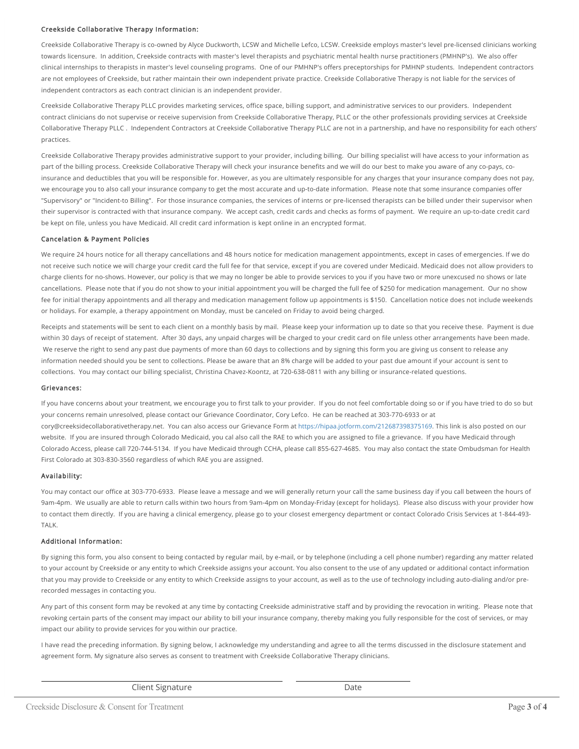### Creekside Collaborative Therapy Information:

Creekside Collaborative Therapy is co-owned by Alyce Duckworth, LCSW and Michelle Lefco, LCSW. Creekside employs master's level pre-licensed clinicians working towards licensure. In addition, Creekside contracts with master's level therapists and psychiatric mental health nurse practitioners (PMHNP's). We also offer clinical internships to therapists in master's level counseling programs. One of our PMHNP's offers preceptorships for PMHNP students. Independent contractors are not employees of Creekside, but rather maintain their own independent private practice. Creekside Collaborative Therapy is not liable for the services of independent contractors as each contract clinician is an independent provider.

Creekside Collaborative Therapy PLLC provides marketing services, office space, billing support, and administrative services to our providers. Independent contract clinicians do not supervise or receive supervision from Creekside Collaborative Therapy, PLLC or the other professionals providing services at Creekside Collaborative Therapy PLLC . Independent Contractors at Creekside Collaborative Therapy PLLC are not in a partnership, and have no responsibility for each others' practices.

Creekside Collaborative Therapy provides administrative support to your provider, including billing. Our billing specialist will have access to your information as part of the billing process. Creekside Collaborative Therapy will check your insurance benefits and we will do our best to make you aware of any co-pays, coinsurance and deductibles that you will be responsible for. However, as you are ultimately responsible for any charges that your insurance company does not pay, we encourage you to also call your insurance company to get the most accurate and up-to-date information. Please note that some insurance companies offer "Supervisory" or "Incident-to Billing". For those insurance companies, the services of interns or pre-licensed therapists can be billed under their supervisor when their supervisor is contracted with that insurance company. We accept cash, credit cards and checks as forms of payment. We require an up-to-date credit card be kept on file, unless you have Medicaid. All credit card information is kept online in an encrypted format.

### Cancelation & Payment Policies

We require 24 hours notice for all therapy cancellations and 48 hours notice for medication management appointments, except in cases of emergencies. If we do not receive such notice we will charge your credit card the full fee for that service, except if you are covered under Medicaid. Medicaid does not allow providers to charge clients for no-shows. However, our policy is that we may no longer be able to provide services to you if you have two or more unexcused no shows or late cancellations. Please note that if you do not show to your initial appointment you will be charged the full fee of \$250 for medication management. Our no show fee for initial therapy appointments and all therapy and medication management follow up appointments is \$150. Cancellation notice does not include weekends or holidays. For example, a therapy appointment on Monday, must be canceled on Friday to avoid being charged.

Receipts and statements will be sent to each client on a monthly basis by mail. Please keep your information up to date so that you receive these. Payment is due within 30 days of receipt of statement. After 30 days, any unpaid charges will be charged to your credit card on file unless other arrangements have been made. We reserve the right to send any past due payments of more than 60 days to collections and by signing this form you are giving us consent to release any information needed should you be sent to collections. Please be aware that an 8% charge will be added to your past due amount if your account is sent to collections. You may contact our billing specialist, Christina Chavez-Koontz, at 720-638-0811 with any billing or insurance-related questions.

### Grievances:

If you have concerns about your treatment, we encourage you to first talk to your provider. If you do not feel comfortable doing so or if you have tried to do so but your concerns remain unresolved, please contact our Grievance Coordinator, Cory Lefco. He can be reached at 303-770-6933 or at cory@creeksidecollaborativetherapy.net. You can also access our Grievance Form at <https://hipaa.jotform.com/212687398375169>. This link is also posted on our website. If you are insured through Colorado Medicaid, you cal also call the RAE to which you are assigned to file a grievance. If you have Medicaid through Colorado Access, please call 720-744-5134. If you have Medicaid through CCHA, please call 855-627-4685. You may also contact the state Ombudsman for Health First Colorado at 303-830-3560 regardless of which RAE you are assigned.

### Availability:

You may contact our office at 303-770-6933. Please leave a message and we will generally return your call the same business day if you call between the hours of 9am-4pm. We usually are able to return calls within two hours from 9am-4pm on Monday-Friday (except for holidays). Please also discuss with your provider how to contact them directly. If you are having a clinical emergency, please go to your closest emergency department or contact Colorado Crisis Services at 1-844-493- TALK.

### Additional Information:

By signing this form, you also consent to being contacted by regular mail, by e-mail, or by telephone (including a cell phone number) regarding any matter related to your account by Creekside or any entity to which Creekside assigns your account. You also consent to the use of any updated or additional contact information that you may provide to Creekside or any entity to which Creekside assigns to your account, as well as to the use of technology including auto-dialing and/or prerecorded messages in contacting you.

Any part of this consent form may be revoked at any time by contacting Creekside administrative staff and by providing the revocation in writing. Please note that revoking certain parts of the consent may impact our ability to bill your insurance company, thereby making you fully responsible for the cost of services, or may impact our ability to provide services for you within our practice.

I have read the preceding information. By signing below, I acknowledge my understanding and agree to all the terms discussed in the disclosure statement and agreement form. My signature also serves as consent to treatment with Creekside Collaborative Therapy clinicians.